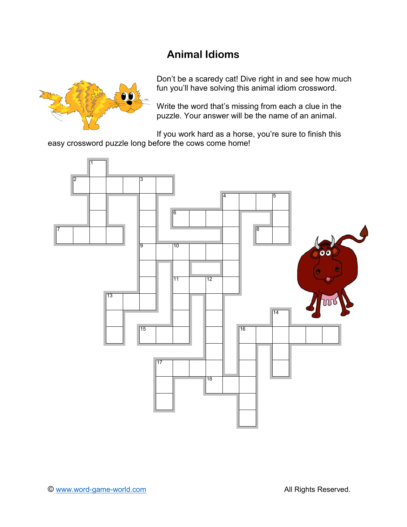# **Animal Idioms**



Don't be a scaredy cat! Dive right in and see how much fun you'll have solving this animal idiom crossword.

Write the word that's missing from each a clue in the puzzle. Your answer will be the name of an animal.

If you work hard as a horse, you're sure to finish this easy crossword puzzle long before the cows come home!

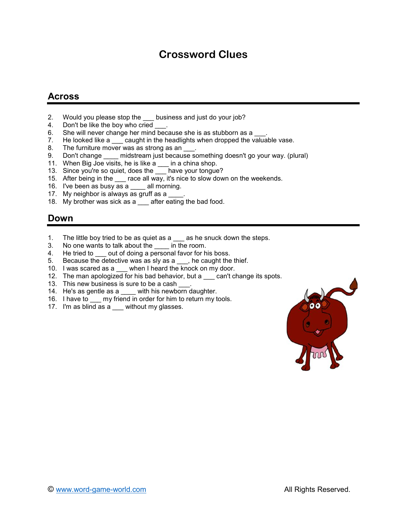## **Crossword Clues**

### **Across**

- 2. Would you please stop the same business and just do your job?
- 4. Don't be like the boy who cried \_<br>6. She will never change her mind
- 
- 6. She will never change her mind because she is as stubborn as a  $\underline{\hspace{1cm}}$ .<br>7. He looked like a  $\underline{\hspace{1cm}}$  caught in the headlights when dropped the valual He looked like a same caught in the headlights when dropped the valuable vase.
- 8. The furniture mover was as strong as an \_\_\_.
- 9. Don't change midstream just because something doesn't go your way. (plural)
- 11. When Big Joe visits, he is like a \_\_\_ in a china shop.
- 13. Since you're so quiet, does the \_\_\_ have your tongue?
- 15. After being in the race all way, it's nice to slow down on the weekends.
- 16. I've been as busy as a \_\_\_\_ all morning.
- 17. My neighbor is always as gruff as a
- 18. My brother was sick as a after eating the bad food.

#### **Down**

- 1. The little boy tried to be as quiet as  $a_2$  as he snuck down the steps.<br>3. No one wants to talk about the in the room.
- No one wants to talk about the \_\_\_\_ in the room.
- 
- 4. He tried to <u>out of doing a personal favor for his boss.</u><br>5. Because the detective was as sly as a <u>s</u>, he caught the Because the detective was as sly as a  $\quad$ , he caught the thief.
- 10. I was scared as a when I heard the knock on my door.
- 12. The man apologized for his bad behavior, but a sam't change its spots.
- 13. This new business is sure to be a cash
- 14. He's as gentle as a \_\_\_\_ with his newborn daughter.
- 16. I have to \_\_\_ my friend in order for him to return my tools.
- 17. I'm as blind as a \_\_\_ without my glasses.